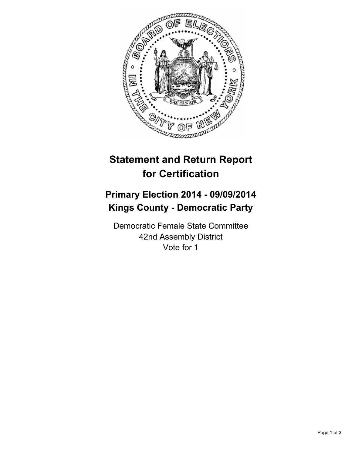

## **Statement and Return Report for Certification**

## **Primary Election 2014 - 09/09/2014 Kings County - Democratic Party**

Democratic Female State Committee 42nd Assembly District Vote for 1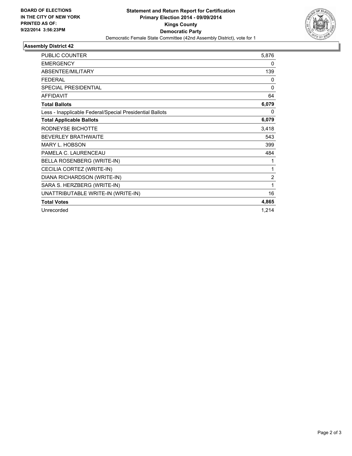

## **Assembly District 42**

| <b>PUBLIC COUNTER</b>                                    | 5,876          |
|----------------------------------------------------------|----------------|
| <b>EMERGENCY</b>                                         | 0              |
| ABSENTEE/MILITARY                                        | 139            |
| <b>FEDERAL</b>                                           | 0              |
| SPECIAL PRESIDENTIAL                                     | 0              |
| <b>AFFIDAVIT</b>                                         | 64             |
| <b>Total Ballots</b>                                     | 6,079          |
| Less - Inapplicable Federal/Special Presidential Ballots | 0              |
| <b>Total Applicable Ballots</b>                          | 6,079          |
| RODNEYSE BICHOTTE                                        | 3,418          |
| <b>BEVERLEY BRATHWAITE</b>                               | 543            |
| <b>MARY L. HOBSON</b>                                    | 399            |
| PAMELA C. LAURENCEAU                                     | 484            |
| BELLA ROSENBERG (WRITE-IN)                               | 1              |
| CECILIA CORTEZ (WRITE-IN)                                | 1              |
| DIANA RICHARDSON (WRITE-IN)                              | $\overline{2}$ |
| SARA S. HERZBERG (WRITE-IN)                              | 1              |
| UNATTRIBUTABLE WRITE-IN (WRITE-IN)                       | 16             |
| <b>Total Votes</b>                                       | 4,865          |
| Unrecorded                                               | 1,214          |